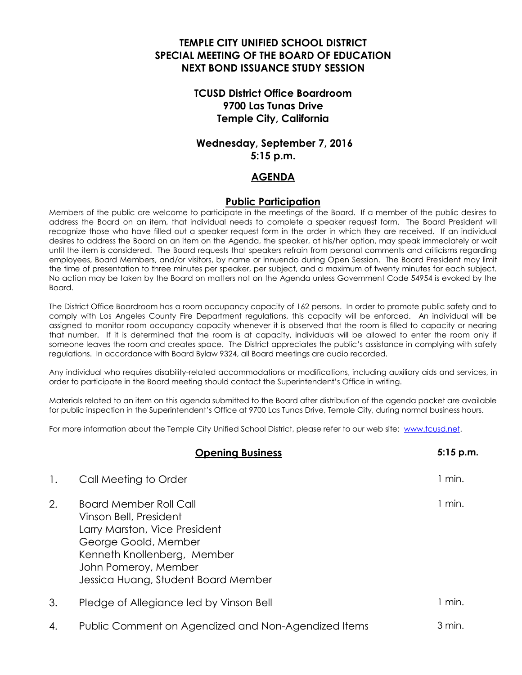# **TEMPLE CITY UNIFIED SCHOOL DISTRICT SPECIAL MEETING OF THE BOARD OF EDUCATION NEXT BOND ISSUANCE STUDY SESSION**

## **TCUSD District Office Boardroom 9700 Las Tunas Drive Temple City, California**

## **Wednesday, September 7, 2016 5:15 p.m.**

#### **AGENDA**

#### **Public Participation**

Members of the public are welcome to participate in the meetings of the Board. If a member of the public desires to address the Board on an item, that individual needs to complete a speaker request form. The Board President will recognize those who have filled out a speaker request form in the order in which they are received. If an individual desires to address the Board on an item on the Agenda, the speaker, at his/her option, may speak immediately or wait until the item is considered. The Board requests that speakers refrain from personal comments and criticisms regarding employees, Board Members, and/or visitors, by name or innuendo during Open Session. The Board President may limit the time of presentation to three minutes per speaker, per subject, and a maximum of twenty minutes for each subject. No action may be taken by the Board on matters not on the Agenda unless Government Code 54954 is evoked by the Board.

The District Office Boardroom has a room occupancy capacity of 162 persons. In order to promote public safety and to comply with Los Angeles County Fire Department regulations, this capacity will be enforced. An individual will be assigned to monitor room occupancy capacity whenever it is observed that the room is filled to capacity or nearing that number. If it is determined that the room is at capacity, individuals will be allowed to enter the room only if someone leaves the room and creates space. The District appreciates the public's assistance in complying with safety regulations. In accordance with Board Bylaw 9324, all Board meetings are audio recorded.

Any individual who requires disability-related accommodations or modifications, including auxiliary aids and services, in order to participate in the Board meeting should contact the Superintendent's Office in writing.

Materials related to an item on this agenda submitted to the Board after distribution of the agenda packet are available for public inspection in the Superintendent's Office at 9700 Las Tunas Drive, Temple City, during normal business hours.

For more information about the Temple City Unified School District, please refer to our web site: [www.tcusd.net.](http://www.tcusd.net/)

|    | <b>Opening Business</b>                                                                                                                                                                                        | 5:15 p.m. |
|----|----------------------------------------------------------------------------------------------------------------------------------------------------------------------------------------------------------------|-----------|
| 1. | Call Meeting to Order                                                                                                                                                                                          | 1 min.    |
| 2. | <b>Board Member Roll Call</b><br>Vinson Bell, President<br>Larry Marston, Vice President<br>George Goold, Member<br>Kenneth Knollenberg, Member<br>John Pomeroy, Member<br>Jessica Huang, Student Board Member | 1 min.    |
| 3. | Pledge of Allegiance led by Vinson Bell                                                                                                                                                                        | 1 min.    |
| 4. | Public Comment on Agendized and Non-Agendized Items                                                                                                                                                            | 3 min.    |